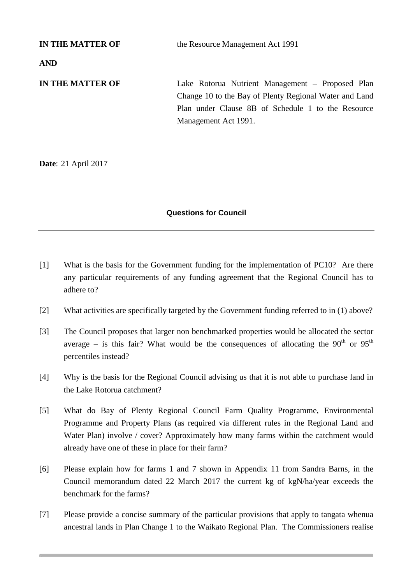**IN THE MATTER OF** the Resource Management Act 1991 **AND IN THE MATTER OF** Lake Rotorua Nutrient Management – Proposed Plan Change 10 to the Bay of Plenty Regional Water and Land Plan under Clause 8B of Schedule 1 to the Resource Management Act 1991.

**Date**: 21 April 2017

## **Questions for Council**

- [1] What is the basis for the Government funding for the implementation of PC10? Are there any particular requirements of any funding agreement that the Regional Council has to adhere to?
- [2] What activities are specifically targeted by the Government funding referred to in (1) above?
- [3] The Council proposes that larger non benchmarked properties would be allocated the sector average – is this fair? What would be the consequences of allocating the  $90^{th}$  or  $95^{th}$ percentiles instead?
- [4] Why is the basis for the Regional Council advising us that it is not able to purchase land in the Lake Rotorua catchment?
- [5] What do Bay of Plenty Regional Council Farm Quality Programme, Environmental Programme and Property Plans (as required via different rules in the Regional Land and Water Plan) involve / cover? Approximately how many farms within the catchment would already have one of these in place for their farm?
- [6] Please explain how for farms 1 and 7 shown in Appendix 11 from Sandra Barns, in the Council memorandum dated 22 March 2017 the current kg of kgN/ha/year exceeds the benchmark for the farms?
- [7] Please provide a concise summary of the particular provisions that apply to tangata whenua ancestral lands in Plan Change 1 to the Waikato Regional Plan. The Commissioners realise